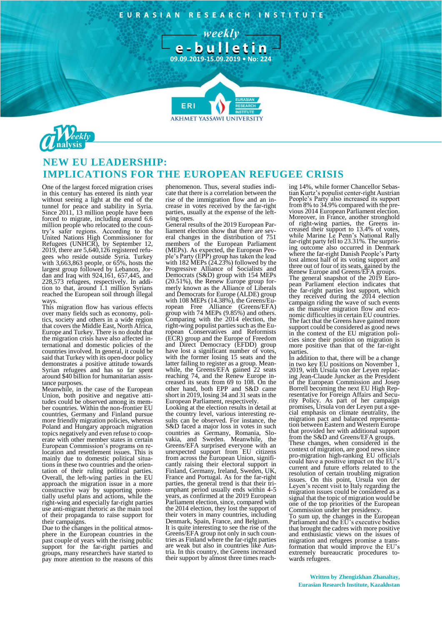EURASIAN RESEARCH INSTITUTE

- weekly e-bulletin

**09.09.2019-15.09.2019 • No: 224**

**7**

**AKHMET YASSAWI UNIVERSIT** 



## **NEW EU LEADERSHIP: IMPLICATIONS FOR THE EUROPEAN REFUGEE CRISIS**

**FRI** 

One of the largest forced migration crises in this century has entered its ninth year without seeing a light at the end of the tunnel for peace and stability in Syria. Since 2011, 13 million people have been forced to migrate, including around 6.6 million people who relocated to the country's safer regions. According to the United Nations High Commissioner for Refugees (UNHCR), by September 12, 2019, there are 5,640,126 registered refugees who reside outside Syria. Turkey with 3,663,863 people, or 65%, hosts the largest group followed by Lebanon, Jordan and Iraq with 924,161, 657,445, and 228,573 refugees, respectively. In addition to that, around 1.1 million Syrians reached the European soil through illegal ways.

This migration flow has various effects over many fields such as economy, politics, society and others in a wide region that covers the Middle East, North Africa, Europe and Turkey. There is no doubt that the migration crisis have also affected international and domestic policies of the countries involved. In general, it could be said that Turkey with its open-door policy demonstrates a positive attitude towards Syrian refugees and has so far spent around \$40 billion for humanitarian assistance purposes.

Meanwhile, in the case of the European Union, both positive and negative attitudes could be observed among its member countries. Within the non-frontier EU countries, Germany and Finland pursue more friendly migration policies, whereas Poland and Hungary approach migration topics negatively and even refuse to cooperate with other member states in certain European Commission's programs on relocation and resettlement issues. This is mainly due to domestic political situations in these two countries and the orientation of their ruling political parties. Overall, the left-wing parties in the EU approach the migration issue in a more constructive way by supporting potentially useful plans and actions, while the right-wing and especially far-right parties use anti-migrant rhetoric as the main tool of their propaganda to raise support for their campaigns.

Due to the changes in the political atmosphere in the European countries in the past couple of years with the rising public support for the far-right parties and groups, many researchers have started to pay more attention to the reasons of this

phenomenon. Thus, several studies indicate that there is a correlation between the rise of the immigration flow and an increase in votes received by the far-right parties, usually at the expense of the leftwing ones.

General results of the 2019 European Parliament election show that there are several changes in the distribution of 751 members of the European Parliament (MEPs). As expected, the European People's Party (EPP) group has taken the lead with 182 MEPs (24.23%) followed by the Progressive Alliance of Socialists and Democrats (S&D) group with 154 MEPs (20.51%), the Renew Europe group formerly known as the Alliance of Liberals and Democrats for Europe (ALDE) group with 108 MEPs  $(14.38\%)$ , the Greens/European Free Alliance (Greens/EFA) group with 74 MEPs (9.85%) and others. Comparing with the 2014 election, the right-wing populist parties such as the European Conservatives and Reformists (ECR) group and the Europe of Freedom and Direct Democracy (EFDD) group have lost a significant number of votes, with the former losing 15 seats and the latter failing to register as a group. Meanwhile, the Greens/EFA gained 22 seats reaching 74, and the Renew Europe increased its seats from 69 to 108. On the other hand, both EPP and S&D came short in 2019, losing 34 and 31 seats in the European Parliament, respectively.

Looking at the election results in detail at the country level, various interesting results can be observed. For instance, the S&D faced a major loss in votes in such countries as Germany, Romania, Slovakia, and Sweden. Meanwhile, the Greens/EFA surprised everyone with an unexpected support from EU citizens from across the European Union, significantly raising their electoral support in Finland, Germany, Ireland, Sweden, UK, France and Portugal. As for the far-right parties, the general trend is that their triumphant period usually ends within 4-5 years, as confirmed at the 2019 European Parliament election, since, compared with the 2014 election, they lost the support of their voters in many countries, including Denmark, Spain, France, and Belgium. It is quite interesting to see the rise of the Greens/EFA group not only in such countries as Finland where the far-right parties are weak but also in countries like Austria. In this country, the Greens increased their support by almost three times reaching 14%, while former Chancellor Sebastian Kurtz's populist center-right Austrian People's Party also increased its support from 8% to 34.9% compared with the previous 2014 European Parliament election. Moreover, in France, another stronghold of right-wing parties, the Greens increased their support to 13.4% of votes, while Marine Le Penn's National Rally far-right party fell to 23.31%. The surprising outcome also occurred in Denmark where the far-right Danish People's Party lost almost half of its voting support and three out of four of its seats, gained by the Renew Europe and Greens/EFA groups. The general snapshot of the 2019 European Parliament election indicates that the far-right parties lost support, which they received during the 2014 election campaign riding the wave of such events as the massive migration flow and economic difficulties in certain EU countries. The fact that the Greens have gained more support could be considered as good news in the context of the EU migration policies since their position on migration is more positive than that of the far-right parties.

In addition to that, there will be a change in two key EU positions on November 1, 2019, with Ursula von der Leyen replacing Jean-Claude Juncker as the President of the European Commission and Josep Borrell becoming the next EU High Representative for Foreign Affairs and Security Policy. As part of her campaign promises, Ursula von der Leyen put a special emphasis on climate neutrality, the migration pact and balanced representation between Eastern and Western Europe that provided her with additional support from the S&D and Greens/EFA groups.

These changes, when considered in the context of migration, are good news since pro-migration high-ranking EU officials could have a positive impact on the EU's current and future efforts related to the resolution of certain troubling migration issues. On this point, Ursula von der Leyen's recent visit to Italy regarding the migration issues could be considered as a signal that the topic of migration would be one of the top priorities of the European Commission under her presidency.

To sum up, the changes in the European Parliament and the EU's executive bodies that brought the cadres with more positive and enthusiastic views on the issues of migration and refugees promise a transformation that would improve the EU's extremely bureaucratic procedures towards refugees.

**Written by Zhengizkhan Zhanaltay, Eurasian Research Institute, Kazakhstan**